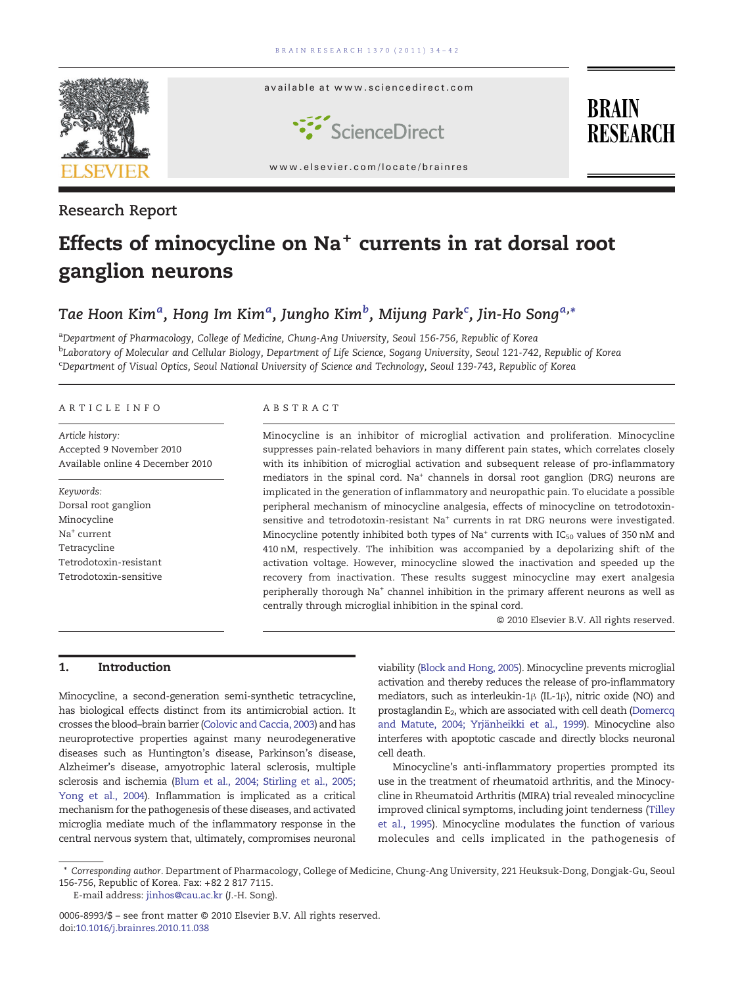

### Research Report

# Effects of minocycline on Na<sup>+</sup> currents in rat dorsal root ganglion neurons

## Tae Hoon Kim ${}^a$ , Hong Im Kim ${}^a$ , Jungho Kim ${}^b$ , Mijung Park ${}^{\mathsf{c}}$ , Jin-Ho Song ${}^{a, *}$

aDepartment of Pharmacology, College of Medicine, Chung-Ang University, Seoul 156-756, Republic of Korea <sup>b</sup>Laboratory of Molecular and Cellular Biology, Department of Life Science, Sogang University, Seoul 121-742, Republic of Korea c Department of Visual Optics, Seoul National University of Science and Technology, Seoul 139-743, Republic of Korea

#### ARTICLE INFO ABSTRACT

Article history: Accepted 9 November 2010 Available online 4 December 2010

Keywords: Dorsal root ganglion Minocycline Na<sup>+</sup> current Tetracycline Tetrodotoxin-resistant Tetrodotoxin-sensitive

Minocycline is an inhibitor of microglial activation and proliferation. Minocycline suppresses pain-related behaviors in many different pain states, which correlates closely with its inhibition of microglial activation and subsequent release of pro-inflammatory mediators in the spinal cord. Na+ channels in dorsal root ganglion (DRG) neurons are implicated in the generation of inflammatory and neuropathic pain. To elucidate a possible peripheral mechanism of minocycline analgesia, effects of minocycline on tetrodotoxinsensitive and tetrodotoxin-resistant Na<sup>+</sup> currents in rat DRG neurons were investigated. Minocycline potently inhibited both types of Na<sup>+</sup> currents with  $IC_{50}$  values of 350 nM and 410 nM, respectively. The inhibition was accompanied by a depolarizing shift of the activation voltage. However, minocycline slowed the inactivation and speeded up the recovery from inactivation. These results suggest minocycline may exert analgesia peripherally thorough Na<sup>+</sup> channel inhibition in the primary afferent neurons as well as centrally through microglial inhibition in the spinal cord.

© 2010 Elsevier B.V. All rights reserved.

#### 1. Introduction

Minocycline, a second-generation semi-synthetic tetracycline, has biological effects distinct from its antimicrobial action. It crosses the blood–brain barrier [\(Colovic and Caccia, 2003](#page-7-0)) and has neuroprotective properties against many neurodegenerative diseases such as Huntington's disease, Parkinson's disease, Alzheimer's disease, amyotrophic lateral sclerosis, multiple sclerosis and ischemia ([Blum et al., 2004; Stirling et al., 2005;](#page-7-0) [Yong et al., 2004](#page-7-0)). Inflammation is implicated as a critical mechanism for the pathogenesis of these diseases, and activated microglia mediate much of the inflammatory response in the central nervous system that, ultimately, compromises neuronal viability [\(Block and Hong, 2005\)](#page-7-0). Minocycline prevents microglial activation and thereby reduces the release of pro-inflammatory mediators, such as interleukin-1β (IL-1β), nitric oxide (NO) and prostaglandin E<sub>2</sub>, which are associated with cell death [\(Domercq](#page-7-0) [and Matute, 2004; Yrjänheikki et al., 1999\)](#page-7-0). Minocycline also interferes with apoptotic cascade and directly blocks neuronal cell death.

Minocycline's anti-inflammatory properties prompted its use in the treatment of rheumatoid arthritis, and the Minocycline in Rheumatoid Arthritis (MIRA) trial revealed minocycline improved clinical symptoms, including joint tenderness [\(Tilley](#page-8-0) [et al., 1995\)](#page-8-0). Minocycline modulates the function of various molecules and cells implicated in the pathogenesis of

E-mail address: [jinhos@cau.ac.kr](mailto:jinhos@cau.ac.kr) (J.-H. Song).

<sup>⁎</sup> Corresponding author. Department of Pharmacology, College of Medicine, Chung-Ang University, 221 Heuksuk-Dong, Dongjak-Gu, Seoul 156-756, Republic of Korea. Fax: +82 2 817 7115.

<sup>0006-8993/\$</sup> – see front matter © 2010 Elsevier B.V. All rights reserved. doi[:10.1016/j.brainres.2010.11.038](http://dx.doi.org/10.1016/j.brainres.2010.11.038)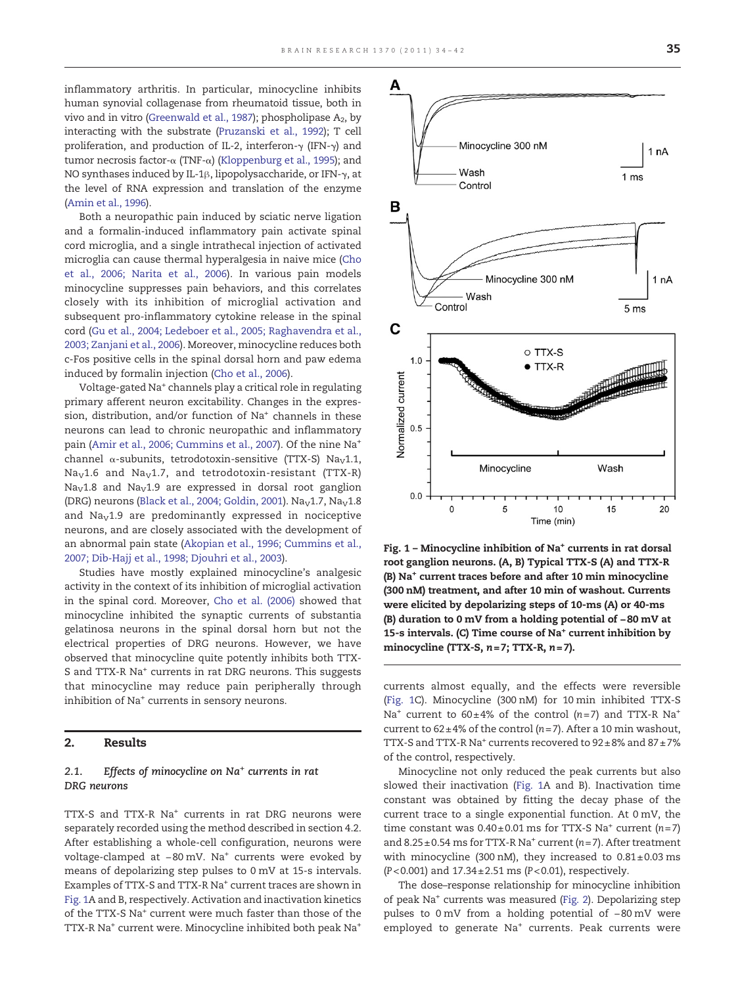A

inflammatory arthritis. In particular, minocycline inhibits human synovial collagenase from rheumatoid tissue, both in vivo and in vitro ([Greenwald et al., 1987\)](#page-8-0); phospholipase  $A_2$ , by interacting with the substrate [\(Pruzanski et al., 1992\)](#page-8-0); T cell proliferation, and production of IL-2, interferon-γ (IFN-γ) and tumor necrosis factor-α (TNF-α) ([Kloppenburg et al., 1995](#page-8-0)); and NO synthases induced by IL-1β, lipopolysaccharide, or IFN-γ, at the level of RNA expression and translation of the enzyme [\(Amin et al., 1996](#page-7-0)).

Both a neuropathic pain induced by sciatic nerve ligation and a formalin-induced inflammatory pain activate spinal cord microglia, and a single intrathecal injection of activated microglia can cause thermal hyperalgesia in naive mice ([Cho](#page-7-0) [et al., 2006; Narita et al., 2006\)](#page-7-0). In various pain models minocycline suppresses pain behaviors, and this correlates closely with its inhibition of microglial activation and subsequent pro-inflammatory cytokine release in the spinal cord ([Gu et al., 2004; Ledeboer et al., 2005; Raghavendra et al.,](#page-8-0) [2003; Zanjani et al., 2006\)](#page-8-0). Moreover, minocycline reduces both c-Fos positive cells in the spinal dorsal horn and paw edema induced by formalin injection [\(Cho et al., 2006](#page-7-0)).

Voltage-gated Na+ channels play a critical role in regulating primary afferent neuron excitability. Changes in the expression, distribution, and/or function of Na<sup>+</sup> channels in these neurons can lead to chronic neuropathic and inflammatory pain [\(Amir et al., 2006; Cummins et al., 2007](#page-7-0)). Of the nine Na<sup>+</sup> channel  $\alpha$ -subunits, tetrodotoxin-sensitive (TTX-S) Na<sub>V</sub>1.1,  $Na<sub>V</sub>1.6$  and  $Na<sub>V</sub>1.7$ , and tetrodotoxin-resistant (TTX-R)  $Na<sub>V</sub>1.8$  and  $Na<sub>V</sub>1.9$  are expressed in dorsal root ganglion (DRG) neurons ([Black et al., 2004; Goldin, 2001\)](#page-7-0). Na<sub>v</sub>1.7, Na<sub>v</sub>1.8 and  $\text{Na}_{\text{V}}1.9$  are predominantly expressed in nociceptive neurons, and are closely associated with the development of an abnormal pain state [\(Akopian et al., 1996; Cummins et al.,](#page-7-0) [2007; Dib-Hajj et al., 1998; Djouhri et al., 2003\)](#page-7-0).

Studies have mostly explained minocycline's analgesic activity in the context of its inhibition of microglial activation in the spinal cord. Moreover, [Cho et al. \(2006\)](#page-7-0) showed that minocycline inhibited the synaptic currents of substantia gelatinosa neurons in the spinal dorsal horn but not the electrical properties of DRG neurons. However, we have observed that minocycline quite potently inhibits both TTX-S and TTX-R Na<sup>+</sup> currents in rat DRG neurons. This suggests that minocycline may reduce pain peripherally through inhibition of Na<sup>+</sup> currents in sensory neurons.

#### 2. Results

#### 2.1. Effects of minocycline on  $Na<sup>+</sup>$  currents in rat DRG neurons

TTX-S and TTX-R Na<sup>+</sup> currents in rat DRG neurons were separately recorded using the method described in section 4.2. After establishing a whole-cell configuration, neurons were voltage-clamped at −80 mV. Na+ currents were evoked by means of depolarizing step pulses to 0 mV at 15-s intervals. Examples of TTX-S and TTX-R Na<sup>+</sup> current traces are shown in Fig. 1A and B, respectively. Activation and inactivation kinetics of the TTX-S Na+ current were much faster than those of the TTX-R Na+ current were. Minocycline inhibited both peak Na+



root ganglion neurons. (A, B) Typical TTX-S (A) and TTX-R (B) Na+ current traces before and after 10 min minocycline (300 nM) treatment, and after 10 min of washout. Currents were elicited by depolarizing steps of 10-ms (A) or 40-ms (B) duration to 0 mV from a holding potential of −80 mV at 15-s intervals. (C) Time course of Na<sup>+</sup> current inhibition by minocycline (TTX-S,  $n=7$ ; TTX-R,  $n=7$ ).

currents almost equally, and the effects were reversible (Fig. 1C). Minocycline (300 nM) for 10 min inhibited TTX-S Na<sup>+</sup> current to  $60 \pm 4\%$  of the control (n=7) and TTX-R Na<sup>+</sup> current to  $62 \pm 4\%$  of the control (n=7). After a 10 min washout, TTX-S and TTX-R Na<sup>+</sup> currents recovered to  $92 \pm 8\%$  and  $87 \pm 7\%$ of the control, respectively.

Minocycline not only reduced the peak currents but also slowed their inactivation (Fig. 1A and B). Inactivation time constant was obtained by fitting the decay phase of the current trace to a single exponential function. At 0 mV, the time constant was  $0.40 \pm 0.01$  ms for TTX-S Na<sup>+</sup> current (n=7) and  $8.25\pm0.54$  ms for TTX-R Na<sup>+</sup> current ( $n=7$ ). After treatment with minocycline (300 nM), they increased to  $0.81 \pm 0.03$  ms  $(P< 0.001)$  and  $17.34 \pm 2.51$  ms  $(P< 0.01)$ , respectively.

The dose–response relationship for minocycline inhibition of peak Na<sup>+</sup> currents was measured [\(Fig. 2](#page-2-0)). Depolarizing step pulses to 0 mV from a holding potential of −80 mV were employed to generate Na<sup>+</sup> currents. Peak currents were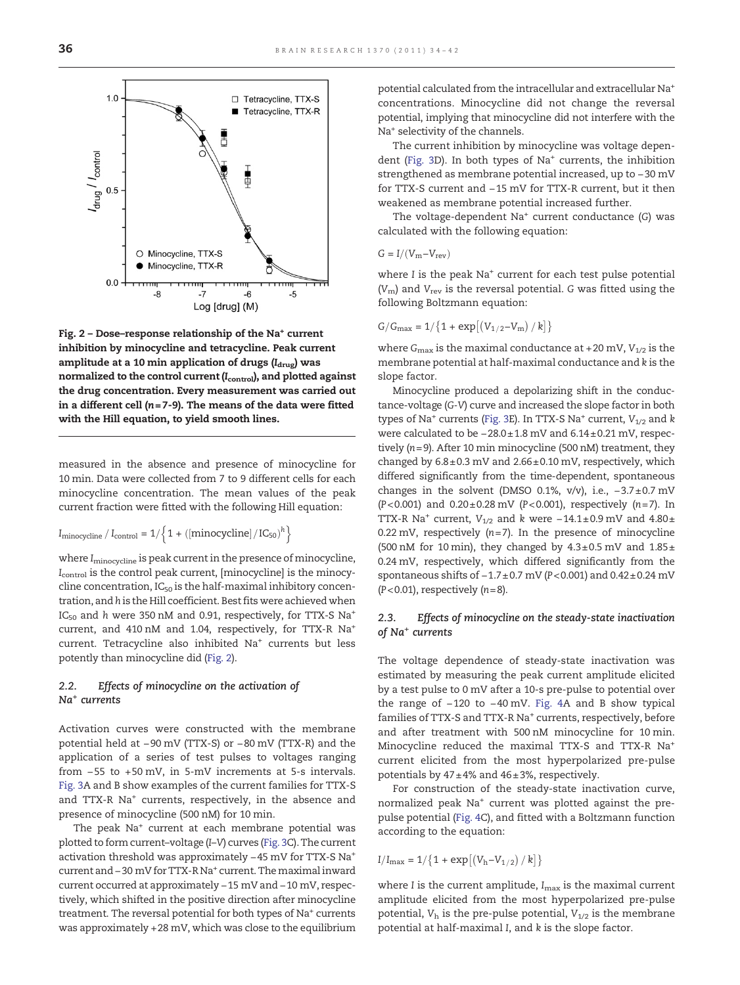<span id="page-2-0"></span>

Fig.  $2$  – Dose–response relationship of the Na<sup>+</sup> current inhibition by minocycline and tetracycline. Peak current amplitude at a 10 min application of drugs  $(I_{\text{drug}})$  was normalized to the control current (I<sub>control</sub>), and plotted against the drug concentration. Every measurement was carried out in a different cell ( $n = 7-9$ ). The means of the data were fitted with the Hill equation, to yield smooth lines.

measured in the absence and presence of minocycline for 10 min. Data were collected from 7 to 9 different cells for each minocycline concentration. The mean values of the peak current fraction were fitted with the following Hill equation:

$$
I_{minocyclic} / I_{control} = 1/\left\{1 + ([minocyclic]/IC_{50})^{h}\right\}
$$

where  $I_{\text{minocyclic}}$  is peak current in the presence of minocycline, Icontrol is the control peak current, [minocycline] is the minocycline concentration,  $IC_{50}$  is the half-maximal inhibitory concentration, and h is the Hill coefficient. Best fits were achieved when IC<sub>50</sub> and h were 350 nM and 0.91, respectively, for TTX-S Na<sup>+</sup> current, and 410 nM and 1.04, respectively, for TTX-R Na+ current. Tetracycline also inhibited Na<sup>+</sup> currents but less potently than minocycline did (Fig. 2).

#### 2.2. Effects of minocycline on the activation of Na+ currents

Activation curves were constructed with the membrane potential held at −90 mV (TTX-S) or −80 mV (TTX-R) and the application of a series of test pulses to voltages ranging from −55 to +50 mV, in 5-mV increments at 5-s intervals. [Fig. 3](#page-3-0)A and B show examples of the current families for TTX-S and TTX-R Na<sup>+</sup> currents, respectively, in the absence and presence of minocycline (500 nM) for 10 min.

The peak Na<sup>+</sup> current at each membrane potential was plotted to form current–voltage (I–V) curves [\(Fig. 3](#page-3-0)C). The current activation threshold was approximately −45 mV for TTX-S Na+ current and−30 mV for TTX-R Na+ current. Themaximal inward current occurred at approximately −15 mV and −10 mV, respectively, which shifted in the positive direction after minocycline treatment. The reversal potential for both types of Na<sup>+</sup> currents was approximately +28 mV, which was close to the equilibrium potential calculated from the intracellular and extracellular Na+ concentrations. Minocycline did not change the reversal potential, implying that minocycline did not interfere with the Na<sup>+</sup> selectivity of the channels.

The current inhibition by minocycline was voltage depen-dent [\(Fig. 3D](#page-3-0)). In both types of  $Na<sup>+</sup>$  currents, the inhibition strengthened as membrane potential increased, up to −30 mV for TTX-S current and −15 mV for TTX-R current, but it then weakened as membrane potential increased further.

The voltage-dependent  $Na<sup>+</sup>$  current conductance (G) was calculated with the following equation:

$$
G=I/\left(V_m{-}V_{rev}\right)
$$

where I is the peak Na<sup>+</sup> current for each test pulse potential  $(V<sub>m</sub>)$  and  $V<sub>rev</sub>$  is the reversal potential. G was fitted using the following Boltzmann equation:

$$
G/G_{\text{max}} = 1/{1 + \exp[(V_{1/2} - V_{\text{m}})/k]}
$$

where  $G_{\text{max}}$  is the maximal conductance at +20 mV,  $V_{1/2}$  is the membrane potential at half-maximal conductance and k is the slope factor.

Minocycline produced a depolarizing shift in the conductance-voltage (G-V) curve and increased the slope factor in both types of Na<sup>+</sup> currents [\(Fig. 3E](#page-3-0)). In TTX-S Na<sup>+</sup> current,  $V_{1/2}$  and k were calculated to be −28.0±1.8 mV and 6.14±0.21 mV, respectively (n= 9). After 10 min minocycline (500 nM) treatment, they changed by 6.8±0.3 mV and 2.66±0.10 mV, respectively, which differed significantly from the time-dependent, spontaneous changes in the solvent (DMSO 0.1%, v/v), i.e., −3.7±0.7 mV (P<0.001) and  $0.20 \pm 0.28$  mV (P<0.001), respectively (n=7). In TTX-R Na<sup>+</sup> current,  $V_{1/2}$  and k were -14.1±0.9 mV and 4.80± 0.22 mV, respectively  $(n=7)$ . In the presence of minocycline (500 nM for 10 min), they changed by  $4.3\pm0.5$  mV and  $1.85\pm$ 0.24 mV, respectively, which differed significantly from the spontaneous shifts of -1.7±0.7 mV (P<0.001) and 0.42±0.24 mV  $(P<0.01)$ , respectively  $(n=8)$ .

#### 2.3. Effects of minocycline on the steady-state inactivation of Na+ currents

The voltage dependence of steady-state inactivation was estimated by measuring the peak current amplitude elicited by a test pulse to 0 mV after a 10-s pre-pulse to potential over the range of −120 to −40 mV. [Fig. 4](#page-4-0)A and B show typical families of TTX-S and TTX-R Na<sup>+</sup> currents, respectively, before and after treatment with 500 nM minocycline for 10 min. Minocycline reduced the maximal TTX-S and TTX-R Na+ current elicited from the most hyperpolarized pre-pulse potentials by  $47 \pm 4\%$  and  $46 \pm 3\%$ , respectively.

For construction of the steady-state inactivation curve, normalized peak Na<sup>+</sup> current was plotted against the prepulse potential [\(Fig. 4C](#page-4-0)), and fitted with a Boltzmann function according to the equation:

$$
I/I_{\text{max}} = 1/\{1 + \exp[(V_h - V_{1/2})/k]\}
$$

where I is the current amplitude,  $I_{\text{max}}$  is the maximal current amplitude elicited from the most hyperpolarized pre-pulse potential,  $V<sub>h</sub>$  is the pre-pulse potential,  $V<sub>1/2</sub>$  is the membrane potential at half-maximal I, and k is the slope factor.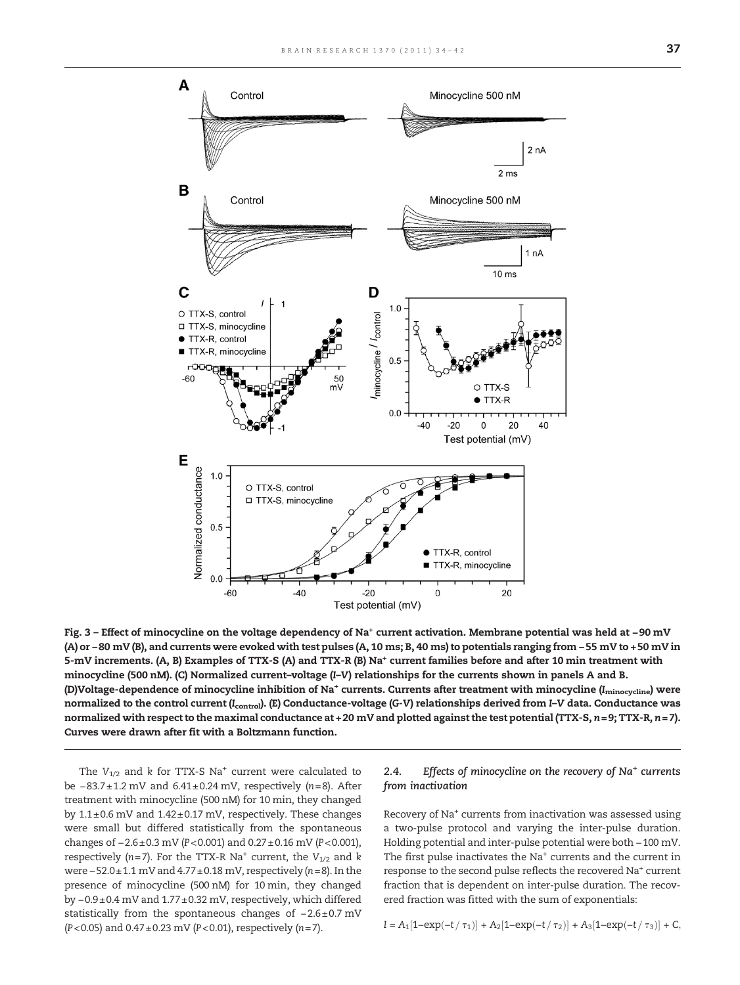<span id="page-3-0"></span>

Fig. 3 – Effect of minocycline on the voltage dependency of Na+ current activation. Membrane potential was held at −90 mV (A) or −80 mV (B), and currents were evoked with test pulses (A, 10 ms; B, 40 ms) to potentials ranging from −55 mV to +50 mV in 5-mV increments. (A, B) Examples of TTX-S (A) and TTX-R (B) Na<sup>+</sup> current families before and after 10 min treatment with minocycline (500 nM). (C) Normalized current–voltage (I–V) relationships for the currents shown in panels A and B. (D)Voltage-dependence of minocycline inhibition of Na<sup>+</sup> currents. Currents after treatment with minocycline (I<sub>minocycline</sub>) were normalized to the control current (Icontrol). (E) Conductance-voltage (G-V) relationships derived from I–V data. Conductance was normalized with respect to the maximal conductance at +20 mV and plotted against the test potential (TTX-S,  $n=9$ ; TTX-R,  $n=7$ ). Curves were drawn after fit with a Boltzmann function.

The  $V_{1/2}$  and k for TTX-S Na<sup>+</sup> current were calculated to be −83.7± 1.2 mV and 6.41± 0.24 mV, respectively (n= 8). After treatment with minocycline (500 nM) for 10 min, they changed by  $1.1\pm0.6$  mV and  $1.42\pm0.17$  mV, respectively. These changes were small but differed statistically from the spontaneous changes of −2.6±0.3 mV (P<0.001) and 0.27± 0.16 mV (P< 0.001), respectively (n=7). For the TTX-R Na<sup>+</sup> current, the  $V_{1/2}$  and k were −52.0±1.1 mV and 4.77± 0.18 mV, respectively (n=8). In the presence of minocycline (500 nM) for 10 min, they changed by −0.9±0.4 mV and 1.77±0.32 mV, respectively, which differed statistically from the spontaneous changes of −2.6± 0.7 mV (P<0.05) and  $0.47 \pm 0.23$  mV (P<0.01), respectively (n=7).

#### 2.4. Effects of minocycline on the recovery of  $Na<sup>+</sup>$  currents from inactivation

Recovery of Na+ currents from inactivation was assessed using a two-pulse protocol and varying the inter-pulse duration. Holding potential and inter-pulse potential were both −100 mV. The first pulse inactivates the Na<sup>+</sup> currents and the current in response to the second pulse reflects the recovered Na<sup>+</sup> current fraction that is dependent on inter-pulse duration. The recovered fraction was fitted with the sum of exponentials:

 $I = A_1[1-\exp(-t/\tau_1)] + A_2[1-\exp(-t/\tau_2)] + A_3[1-\exp(-t/\tau_3)] + C,$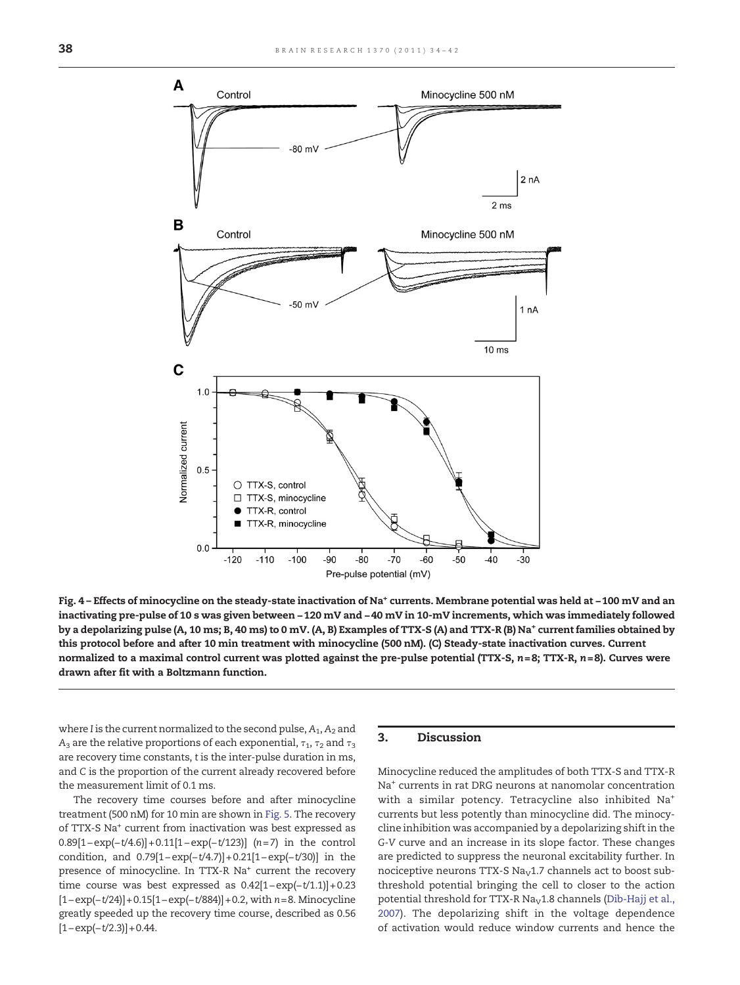<span id="page-4-0"></span>

Fig. 4 – Effects of minocycline on the steady-state inactivation of Na+ currents. Membrane potential was held at −100 mV and an inactivating pre-pulse of 10 s was given between −120 mV and −40 mV in 10-mV increments, which was immediately followed by a depolarizing pulse (A, 10 ms; B, 40 ms) to 0 mV. (A, B) Examples of TTX-S (A) and TTX-R (B) Na<sup>+</sup> current families obtained by this protocol before and after 10 min treatment with minocycline (500 nM). (C) Steady-state inactivation curves. Current normalized to a maximal control current was plotted against the pre-pulse potential (TTX-S,  $n=8$ ; TTX-R,  $n=8$ ). Curves were drawn after fit with a Boltzmann function.

where I is the current normalized to the second pulse,  $A_1$ ,  $A_2$  and A<sub>3</sub> are the relative proportions of each exponential,  $τ_1$ ,  $τ_2$  and  $τ_3$ are recovery time constants, t is the inter-pulse duration in ms, and C is the proportion of the current already recovered before the measurement limit of 0.1 ms.

The recovery time courses before and after minocycline treatment (500 nM) for 10 min are shown in [Fig. 5.](#page-5-0) The recovery of TTX-S Na+ current from inactivation was best expressed as 0.89[1−exp(−t/4.6)]+ 0.11[1−exp(−t/123)] (n= 7) in the control condition, and 0.79[1−exp(−t/4.7)]+ 0.21[1−exp(−t/30)] in the presence of minocycline. In TTX-R Na<sup>+</sup> current the recovery time course was best expressed as 0.42[1−exp(−t/1.1)]+ 0.23 [1−exp(−t/24)]+ 0.15[1−exp(−t/884)]+ 0.2, with n=8. Minocycline greatly speeded up the recovery time course, described as 0.56  $[1-exp(-t/2.3)] + 0.44.$ 

#### 3. Discussion

Minocycline reduced the amplitudes of both TTX-S and TTX-R Na+ currents in rat DRG neurons at nanomolar concentration with a similar potency. Tetracycline also inhibited Na+ currents but less potently than minocycline did. The minocycline inhibition was accompanied by a depolarizing shift in the G-V curve and an increase in its slope factor. These changes are predicted to suppress the neuronal excitability further. In nociceptive neurons TTX-S Na<sub>V</sub>1.7 channels act to boost subthreshold potential bringing the cell to closer to the action potential threshold for TTX-R Na<sub>V</sub>1.8 channels ([Dib-Hajj et al.,](#page-7-0) [2007](#page-7-0)). The depolarizing shift in the voltage dependence of activation would reduce window currents and hence the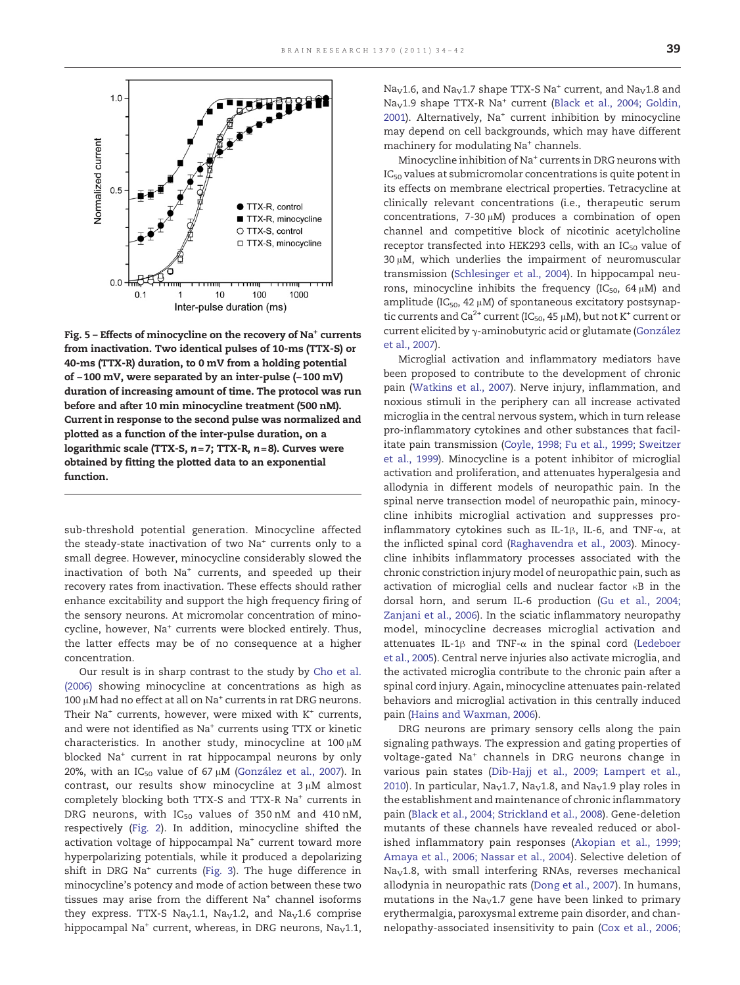<span id="page-5-0"></span>

Fig.  $5$  – Effects of minocycline on the recovery of Na<sup>+</sup> currents from inactivation. Two identical pulses of 10-ms (TTX-S) or 40-ms (TTX-R) duration, to 0 mV from a holding potential of −100 mV, were separated by an inter-pulse (−100 mV) duration of increasing amount of time. The protocol was run before and after 10 min minocycline treatment (500 nM). Current in response to the second pulse was normalized and plotted as a function of the inter-pulse duration, on a logarithmic scale (TTX-S,  $n=7$ ; TTX-R,  $n=8$ ). Curves were obtained by fitting the plotted data to an exponential function.

sub-threshold potential generation. Minocycline affected the steady-state inactivation of two Na<sup>+</sup> currents only to a small degree. However, minocycline considerably slowed the inactivation of both Na<sup>+</sup> currents, and speeded up their recovery rates from inactivation. These effects should rather enhance excitability and support the high frequency firing of the sensory neurons. At micromolar concentration of minocycline, however, Na<sup>+</sup> currents were blocked entirely. Thus, the latter effects may be of no consequence at a higher concentration.

Our result is in sharp contrast to the study by [Cho et al.](#page-7-0) [\(2006\)](#page-7-0) showing minocycline at concentrations as high as 100 μM had no effect at all on Na<sup>+</sup> currents in rat DRG neurons. Their Na<sup>+</sup> currents, however, were mixed with  $K^+$  currents, and were not identified as Na+ currents using TTX or kinetic characteristics. In another study, minocycline at 100 μM blocked Na+ current in rat hippocampal neurons by only 20%, with an IC<sub>50</sub> value of 67  $\mu$ M ([González et al., 2007\)](#page-8-0). In contrast, our results show minocycline at 3 μM almost completely blocking both TTX-S and TTX-R Na<sup>+</sup> currents in DRG neurons, with  $IC_{50}$  values of 350 nM and 410 nM, respectively [\(Fig. 2\)](#page-2-0). In addition, minocycline shifted the activation voltage of hippocampal Na<sup>+</sup> current toward more hyperpolarizing potentials, while it produced a depolarizing shift in DRG Na<sup>+</sup> currents [\(Fig. 3\)](#page-3-0). The huge difference in minocycline's potency and mode of action between these two tissues may arise from the different Na<sup>+</sup> channel isoforms they express. TTX-S Na<sub>v</sub>1.1, Na<sub>v</sub>1.2, and Na<sub>v</sub>1.6 comprise hippocampal Na<sup>+</sup> current, whereas, in DRG neurons, Na<sub>V</sub>1.1, Na<sub>V</sub>1.6, and Na<sub>V</sub>1.7 shape TTX-S Na<sup>+</sup> current, and Na<sub>V</sub>1.8 and Na<sub>V</sub>1.9 shape TTX-R Na<sup>+</sup> current [\(Black et al., 2004; Goldin,](#page-7-0) [2001](#page-7-0)). Alternatively, Na<sup>+</sup> current inhibition by minocycline may depend on cell backgrounds, which may have different machinery for modulating Na<sup>+</sup> channels.

Minocycline inhibition of Na<sup>+</sup> currents in DRG neurons with  $IC_{50}$  values at submicromolar concentrations is quite potent in its effects on membrane electrical properties. Tetracycline at clinically relevant concentrations (i.e., therapeutic serum concentrations, 7-30 μM) produces a combination of open channel and competitive block of nicotinic acetylcholine receptor transfected into HEK293 cells, with an  $IC_{50}$  value of 30 μM, which underlies the impairment of neuromuscular transmission ([Schlesinger et al., 2004\)](#page-8-0). In hippocampal neurons, minocycline inhibits the frequency ( $IC_{50}$ , 64  $\mu$ M) and amplitude ( $IC_{50}$ , 42  $\mu$ M) of spontaneous excitatory postsynaptic currents and  $Ca^{2+}$  current (IC<sub>50</sub>, 45  $\mu$ M), but not K<sup>+</sup> current or current elicited by γ-aminobutyric acid or glutamate [\(González](#page-8-0) [et al., 2007](#page-8-0)).

Microglial activation and inflammatory mediators have been proposed to contribute to the development of chronic pain [\(Watkins et al., 2007\)](#page-8-0). Nerve injury, inflammation, and noxious stimuli in the periphery can all increase activated microglia in the central nervous system, which in turn release pro-inflammatory cytokines and other substances that facilitate pain transmission ([Coyle, 1998; Fu et al., 1999; Sweitzer](#page-7-0) [et al., 1999\)](#page-7-0). Minocycline is a potent inhibitor of microglial activation and proliferation, and attenuates hyperalgesia and allodynia in different models of neuropathic pain. In the spinal nerve transection model of neuropathic pain, minocycline inhibits microglial activation and suppresses proinflammatory cytokines such as IL-1β, IL-6, and TNF-α, at the inflicted spinal cord ([Raghavendra et al., 2003](#page-8-0)). Minocycline inhibits inflammatory processes associated with the chronic constriction injury model of neuropathic pain, such as activation of microglial cells and nuclear factor κB in the dorsal horn, and serum IL-6 production [\(Gu et al., 2004;](#page-8-0) [Zanjani et al., 2006\)](#page-8-0). In the sciatic inflammatory neuropathy model, minocycline decreases microglial activation and attenuates IL-1 $\beta$  and TNF- $\alpha$  in the spinal cord ([Ledeboer](#page-8-0) [et al., 2005](#page-8-0)). Central nerve injuries also activate microglia, and the activated microglia contribute to the chronic pain after a spinal cord injury. Again, minocycline attenuates pain-related behaviors and microglial activation in this centrally induced pain [\(Hains and Waxman, 2006\)](#page-8-0).

DRG neurons are primary sensory cells along the pain signaling pathways. The expression and gating properties of voltage-gated Na<sup>+</sup> channels in DRG neurons change in various pain states ([Dib-Hajj et al., 2009; Lampert et al.,](#page-7-0) [2010\)](#page-7-0). In particular,  $Na<sub>V</sub>1.7$ ,  $Na<sub>V</sub>1.8$ , and  $Na<sub>V</sub>1.9$  play roles in the establishment and maintenance of chronic inflammatory pain [\(Black et al., 2004; Strickland et al., 2008](#page-7-0)). Gene-deletion mutants of these channels have revealed reduced or abolished inflammatory pain responses ([Akopian et al., 1999;](#page-7-0) [Amaya et al., 2006; Nassar et al., 2004\)](#page-7-0). Selective deletion of  $Na<sub>V</sub>1.8$ , with small interfering RNAs, reverses mechanical allodynia in neuropathic rats ([Dong et al., 2007](#page-7-0)). In humans, mutations in the  $Na<sub>V</sub>1.7$  gene have been linked to primary erythermalgia, paroxysmal extreme pain disorder, and channelopathy-associated insensitivity to pain [\(Cox et al., 2006;](#page-7-0)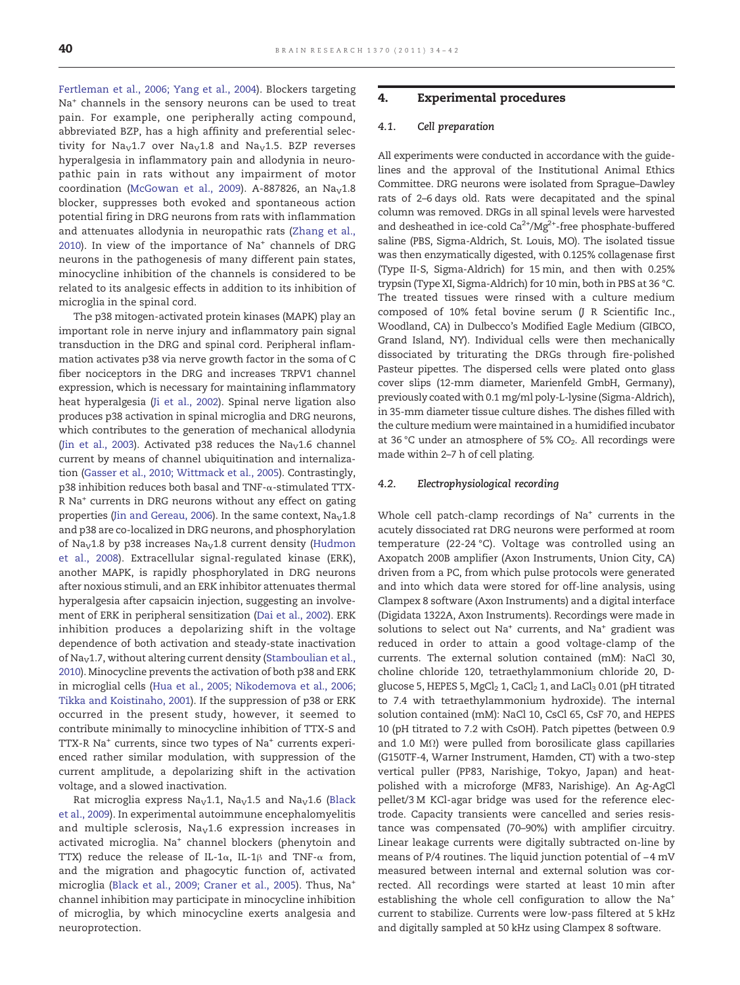[Fertleman et al., 2006; Yang et al., 2004](#page-7-0)). Blockers targeting Na<sup>+</sup> channels in the sensory neurons can be used to treat pain. For example, one peripherally acting compound, abbreviated BZP, has a high affinity and preferential selectivity for  $\text{Na}_{\text{V}}1.7$  over  $\text{Na}_{\text{V}}1.8$  and  $\text{Na}_{\text{V}}1.5$ . BZP reverses hyperalgesia in inflammatory pain and allodynia in neuropathic pain in rats without any impairment of motor coordination ([McGowan et al., 2009\)](#page-8-0). A-887826, an  $Na<sub>V</sub>1.8$ blocker, suppresses both evoked and spontaneous action potential firing in DRG neurons from rats with inflammation and attenuates allodynia in neuropathic rats [\(Zhang et al.,](#page-8-0) [2010](#page-8-0)). In view of the importance of Na<sup>+</sup> channels of DRG neurons in the pathogenesis of many different pain states, minocycline inhibition of the channels is considered to be related to its analgesic effects in addition to its inhibition of microglia in the spinal cord.

The p38 mitogen-activated protein kinases (MAPK) play an important role in nerve injury and inflammatory pain signal transduction in the DRG and spinal cord. Peripheral inflammation activates p38 via nerve growth factor in the soma of C fiber nociceptors in the DRG and increases TRPV1 channel expression, which is necessary for maintaining inflammatory heat hyperalgesia ([Ji et al., 2002\)](#page-8-0). Spinal nerve ligation also produces p38 activation in spinal microglia and DRG neurons, which contributes to the generation of mechanical allodynia ([Jin et al., 2003\)](#page-8-0). Activated p38 reduces the  $Na<sub>V</sub>1.6$  channel current by means of channel ubiquitination and internalization ([Gasser et al., 2010; Wittmack et al., 2005\)](#page-7-0). Contrastingly, p38 inhibition reduces both basal and TNF-α-stimulated TTX-R Na+ currents in DRG neurons without any effect on gating properties ([Jin and Gereau, 2006\)](#page-8-0). In the same context,  $N a_V 1.8$ and p38 are co-localized in DRG neurons, and phosphorylation of Na<sub>V</sub>1.8 by p38 increases Na<sub>V</sub>1.8 current density [\(Hudmon](#page-8-0) [et al., 2008](#page-8-0)). Extracellular signal-regulated kinase (ERK), another MAPK, is rapidly phosphorylated in DRG neurons after noxious stimuli, and an ERK inhibitor attenuates thermal hyperalgesia after capsaicin injection, suggesting an involvement of ERK in peripheral sensitization ([Dai et al., 2002\)](#page-7-0). ERK inhibition produces a depolarizing shift in the voltage dependence of both activation and steady-state inactivation of Na<sub>v</sub>1.7, without altering current density [\(Stamboulian et al.,](#page-8-0) [2010\)](#page-8-0). Minocycline prevents the activation of both p38 and ERK in microglial cells ([Hua et al., 2005; Nikodemova et al., 2006;](#page-8-0) [Tikka and Koistinaho, 2001](#page-8-0)). If the suppression of p38 or ERK occurred in the present study, however, it seemed to contribute minimally to minocycline inhibition of TTX-S and TTX-R Na<sup>+</sup> currents, since two types of Na<sup>+</sup> currents experienced rather similar modulation, with suppression of the current amplitude, a depolarizing shift in the activation voltage, and a slowed inactivation.

Rat microglia express  $\text{Na}_{\text{V}}1.1$ ,  $\text{Na}_{\text{V}}1.5$  and  $\text{Na}_{\text{V}}1.6$  [\(Black](#page-7-0) [et al., 2009](#page-7-0)). In experimental autoimmune encephalomyelitis and multiple sclerosis,  $Na<sub>V</sub>1.6$  expression increases in activated microglia. Na<sup>+</sup> channel blockers (phenytoin and TTX) reduce the release of IL-1 $\alpha$ , IL-1 $\beta$  and TNF- $\alpha$  from, and the migration and phagocytic function of, activated microglia [\(Black et al., 2009; Craner et al., 2005](#page-7-0)). Thus, Na+ channel inhibition may participate in minocycline inhibition of microglia, by which minocycline exerts analgesia and neuroprotection.

#### 4. Experimental procedures

#### 4.1. Cell preparation

All experiments were conducted in accordance with the guidelines and the approval of the Institutional Animal Ethics Committee. DRG neurons were isolated from Sprague–Dawley rats of 2–6 days old. Rats were decapitated and the spinal column was removed. DRGs in all spinal levels were harvested and desheathed in ice-cold  $Ca^{2+}/Mg^{2+}$ -free phosphate-buffered saline (PBS, Sigma-Aldrich, St. Louis, MO). The isolated tissue was then enzymatically digested, with 0.125% collagenase first (Type II-S, Sigma-Aldrich) for 15 min, and then with 0.25% trypsin (Type XI, Sigma-Aldrich) for 10 min, both in PBS at 36 °C. The treated tissues were rinsed with a culture medium composed of 10% fetal bovine serum (J R Scientific Inc., Woodland, CA) in Dulbecco's Modified Eagle Medium (GIBCO, Grand Island, NY). Individual cells were then mechanically dissociated by triturating the DRGs through fire-polished Pasteur pipettes. The dispersed cells were plated onto glass cover slips (12-mm diameter, Marienfeld GmbH, Germany), previously coated with 0.1 mg/ml poly-L-lysine (Sigma-Aldrich), in 35-mm diameter tissue culture dishes. The dishes filled with the culture medium were maintained in a humidified incubator at 36 °C under an atmosphere of 5%  $CO<sub>2</sub>$ . All recordings were made within 2–7 h of cell plating.

#### 4.2. Electrophysiological recording

Whole cell patch-clamp recordings of Na<sup>+</sup> currents in the acutely dissociated rat DRG neurons were performed at room temperature (22-24 °C). Voltage was controlled using an Axopatch 200B amplifier (Axon Instruments, Union City, CA) driven from a PC, from which pulse protocols were generated and into which data were stored for off-line analysis, using Clampex 8 software (Axon Instruments) and a digital interface (Digidata 1322A, Axon Instruments). Recordings were made in solutions to select out Na<sup>+</sup> currents, and Na<sup>+</sup> gradient was reduced in order to attain a good voltage-clamp of the currents. The external solution contained (mM): NaCl 30, choline chloride 120, tetraethylammonium chloride 20, Dglucose 5, HEPES 5,  $MgCl<sub>2</sub> 1$ ,  $CaCl<sub>2</sub> 1$ , and  $LaCl<sub>3</sub> 0.01$  (pH titrated to 7.4 with tetraethylammonium hydroxide). The internal solution contained (mM): NaCl 10, CsCl 65, CsF 70, and HEPES 10 (pH titrated to 7.2 with CsOH). Patch pipettes (between 0.9 and 1.0 MΩ) were pulled from borosilicate glass capillaries (G150TF-4, Warner Instrument, Hamden, CT) with a two-step vertical puller (PP83, Narishige, Tokyo, Japan) and heatpolished with a microforge (MF83, Narishige). An Ag-AgCl pellet/3 M KCl-agar bridge was used for the reference electrode. Capacity transients were cancelled and series resistance was compensated (70–90%) with amplifier circuitry. Linear leakage currents were digitally subtracted on-line by means of P/4 routines. The liquid junction potential of −4 mV measured between internal and external solution was corrected. All recordings were started at least 10 min after establishing the whole cell configuration to allow the Na+ current to stabilize. Currents were low-pass filtered at 5 kHz and digitally sampled at 50 kHz using Clampex 8 software.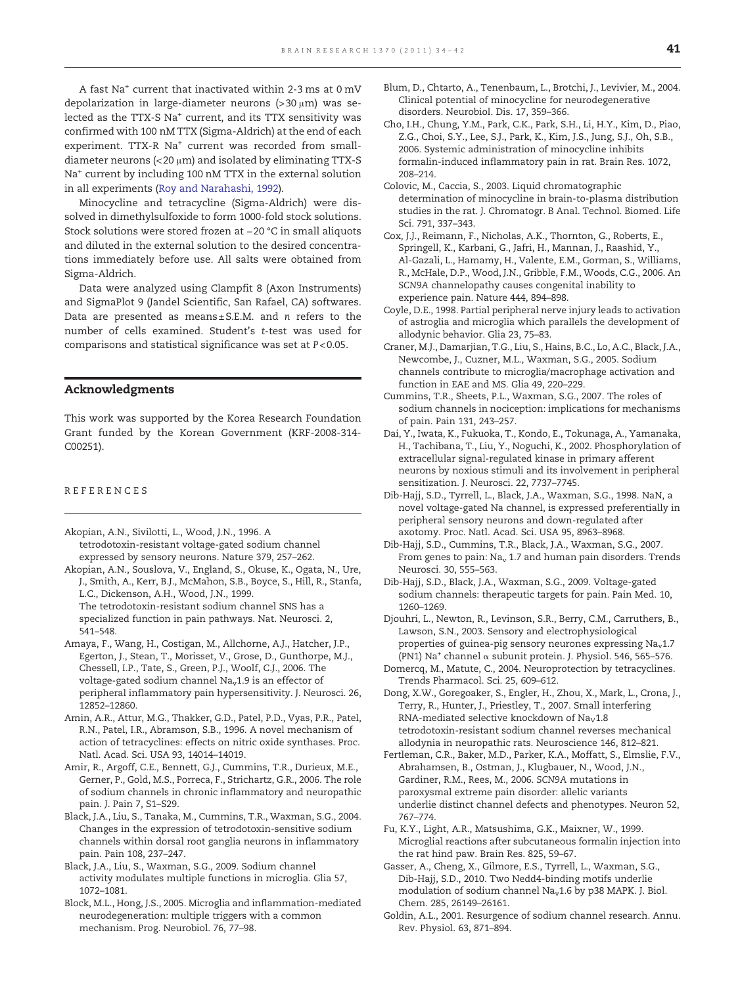<span id="page-7-0"></span>A fast Na+ current that inactivated within 2-3 ms at 0 mV depolarization in large-diameter neurons (>30 μm) was selected as the TTX-S Na<sup>+</sup> current, and its TTX sensitivity was confirmed with 100 nM TTX (Sigma-Aldrich) at the end of each experiment. TTX-R Na<sup>+</sup> current was recorded from smalldiameter neurons ( $<$  20  $\mu$ m) and isolated by eliminating TTX-S Na<sup>+</sup> current by including 100 nM TTX in the external solution in all experiments ([Roy and Narahashi, 1992](#page-8-0)).

Minocycline and tetracycline (Sigma-Aldrich) were dissolved in dimethylsulfoxide to form 1000-fold stock solutions. Stock solutions were stored frozen at −20 °C in small aliquots and diluted in the external solution to the desired concentrations immediately before use. All salts were obtained from Sigma-Aldrich.

Data were analyzed using Clampfit 8 (Axon Instruments) and SigmaPlot 9 (Jandel Scientific, San Rafael, CA) softwares. Data are presented as means± S.E.M. and n refers to the number of cells examined. Student's t-test was used for comparisons and statistical significance was set at P< 0.05.

#### Acknowledgments

This work was supported by the Korea Research Foundation Grant funded by the Korean Government (KRF-2008-314- C00251).

#### REFERENCES

- Akopian, A.N., Sivilotti, L., Wood, J.N., 1996. A tetrodotoxin-resistant voltage-gated sodium channel expressed by sensory neurons. Nature 379, 257–262.
- Akopian, A.N., Souslova, V., England, S., Okuse, K., Ogata, N., Ure, J., Smith, A., Kerr, B.J., McMahon, S.B., Boyce, S., Hill, R., Stanfa, L.C., Dickenson, A.H., Wood, J.N., 1999. The tetrodotoxin-resistant sodium channel SNS has a
	- specialized function in pain pathways. Nat. Neurosci. 2, 541–548.
- Amaya, F., Wang, H., Costigan, M., Allchorne, A.J., Hatcher, J.P., Egerton, J., Stean, T., Morisset, V., Grose, D., Gunthorpe, M.J., Chessell, I.P., Tate, S., Green, P.J., Woolf, C.J., 2006. The voltage-gated sodium channel Na<sub>v</sub>1.9 is an effector of peripheral inflammatory pain hypersensitivity. J. Neurosci. 26, 12852–12860.
- Amin, A.R., Attur, M.G., Thakker, G.D., Patel, P.D., Vyas, P.R., Patel, R.N., Patel, I.R., Abramson, S.B., 1996. A novel mechanism of action of tetracyclines: effects on nitric oxide synthases. Proc. Natl. Acad. Sci. USA 93, 14014–14019.
- Amir, R., Argoff, C.E., Bennett, G.J., Cummins, T.R., Durieux, M.E., Gerner, P., Gold, M.S., Porreca, F., Strichartz, G.R., 2006. The role of sodium channels in chronic inflammatory and neuropathic pain. J. Pain 7, S1–S29.
- Black, J.A., Liu, S., Tanaka, M., Cummins, T.R., Waxman, S.G., 2004. Changes in the expression of tetrodotoxin-sensitive sodium channels within dorsal root ganglia neurons in inflammatory pain. Pain 108, 237–247.
- Black, J.A., Liu, S., Waxman, S.G., 2009. Sodium channel activity modulates multiple functions in microglia. Glia 57, 1072–1081.
- Block, M.L., Hong, J.S., 2005. Microglia and inflammation-mediated neurodegeneration: multiple triggers with a common mechanism. Prog. Neurobiol. 76, 77–98.
- Blum, D., Chtarto, A., Tenenbaum, L., Brotchi, J., Levivier, M., 2004. Clinical potential of minocycline for neurodegenerative disorders. Neurobiol. Dis. 17, 359–366.
- Cho, I.H., Chung, Y.M., Park, C.K., Park, S.H., Li, H.Y., Kim, D., Piao, Z.G., Choi, S.Y., Lee, S.J., Park, K., Kim, J.S., Jung, S.J., Oh, S.B., 2006. Systemic administration of minocycline inhibits formalin-induced inflammatory pain in rat. Brain Res. 1072, 208–214.
- Colovic, M., Caccia, S., 2003. Liquid chromatographic determination of minocycline in brain-to-plasma distribution studies in the rat. J. Chromatogr. B Anal. Technol. Biomed. Life Sci. 791, 337–343.
- Cox, J.J., Reimann, F., Nicholas, A.K., Thornton, G., Roberts, E., Springell, K., Karbani, G., Jafri, H., Mannan, J., Raashid, Y., Al-Gazali, L., Hamamy, H., Valente, E.M., Gorman, S., Williams, R., McHale, D.P., Wood, J.N., Gribble, F.M., Woods, C.G., 2006. An SCN9A channelopathy causes congenital inability to experience pain. Nature 444, 894–898.
- Coyle, D.E., 1998. Partial peripheral nerve injury leads to activation of astroglia and microglia which parallels the development of allodynic behavior. Glia 23, 75–83.
- Craner, M.J., Damarjian, T.G., Liu, S., Hains, B.C., Lo, A.C., Black, J.A., Newcombe, J., Cuzner, M.L., Waxman, S.G., 2005. Sodium channels contribute to microglia/macrophage activation and function in EAE and MS. Glia 49, 220–229.
- Cummins, T.R., Sheets, P.L., Waxman, S.G., 2007. The roles of sodium channels in nociception: implications for mechanisms of pain. Pain 131, 243–257.
- Dai, Y., Iwata, K., Fukuoka, T., Kondo, E., Tokunaga, A., Yamanaka, H., Tachibana, T., Liu, Y., Noguchi, K., 2002. Phosphorylation of extracellular signal-regulated kinase in primary afferent neurons by noxious stimuli and its involvement in peripheral sensitization. J. Neurosci. 22, 7737–7745.
- Dib-Hajj, S.D., Tyrrell, L., Black, J.A., Waxman, S.G., 1998. NaN, a novel voltage-gated Na channel, is expressed preferentially in peripheral sensory neurons and down-regulated after axotomy. Proc. Natl. Acad. Sci. USA 95, 8963–8968.
- Dib-Hajj, S.D., Cummins, T.R., Black, J.A., Waxman, S.G., 2007. From genes to pain:  $Na<sub>v</sub>$  1.7 and human pain disorders. Trends Neurosci. 30, 555–563.
- Dib-Hajj, S.D., Black, J.A., Waxman, S.G., 2009. Voltage-gated sodium channels: therapeutic targets for pain. Pain Med. 10, 1260–1269.
- Djouhri, L., Newton, R., Levinson, S.R., Berry, C.M., Carruthers, B., Lawson, S.N., 2003. Sensory and electrophysiological properties of guinea-pig sensory neurones expressing Na<sub>v</sub>1.7 (PN1) Na+ channel α subunit protein. J. Physiol. 546, 565–576.
- Domercq, M., Matute, C., 2004. Neuroprotection by tetracyclines. Trends Pharmacol. Sci. 25, 609–612.
- Dong, X.W., Goregoaker, S., Engler, H., Zhou, X., Mark, L., Crona, J., Terry, R., Hunter, J., Priestley, T., 2007. Small interfering RNA-mediated selective knockdown of  $Na<sub>V</sub>1.8$ tetrodotoxin-resistant sodium channel reverses mechanical allodynia in neuropathic rats. Neuroscience 146, 812–821.
- Fertleman, C.R., Baker, M.D., Parker, K.A., Moffatt, S., Elmslie, F.V., Abrahamsen, B., Ostman, J., Klugbauer, N., Wood, J.N., Gardiner, R.M., Rees, M., 2006. SCN9A mutations in paroxysmal extreme pain disorder: allelic variants underlie distinct channel defects and phenotypes. Neuron 52, 767–774.
- Fu, K.Y., Light, A.R., Matsushima, G.K., Maixner, W., 1999. Microglial reactions after subcutaneous formalin injection into the rat hind paw. Brain Res. 825, 59–67.
- Gasser, A., Cheng, X., Gilmore, E.S., Tyrrell, L., Waxman, S.G., Dib-Hajj, S.D., 2010. Two Nedd4-binding motifs underlie modulation of sodium channel Na<sub>v</sub>1.6 by p38 MAPK. J. Biol. Chem. 285, 26149–26161.
- Goldin, A.L., 2001. Resurgence of sodium channel research. Annu. Rev. Physiol. 63, 871–894.